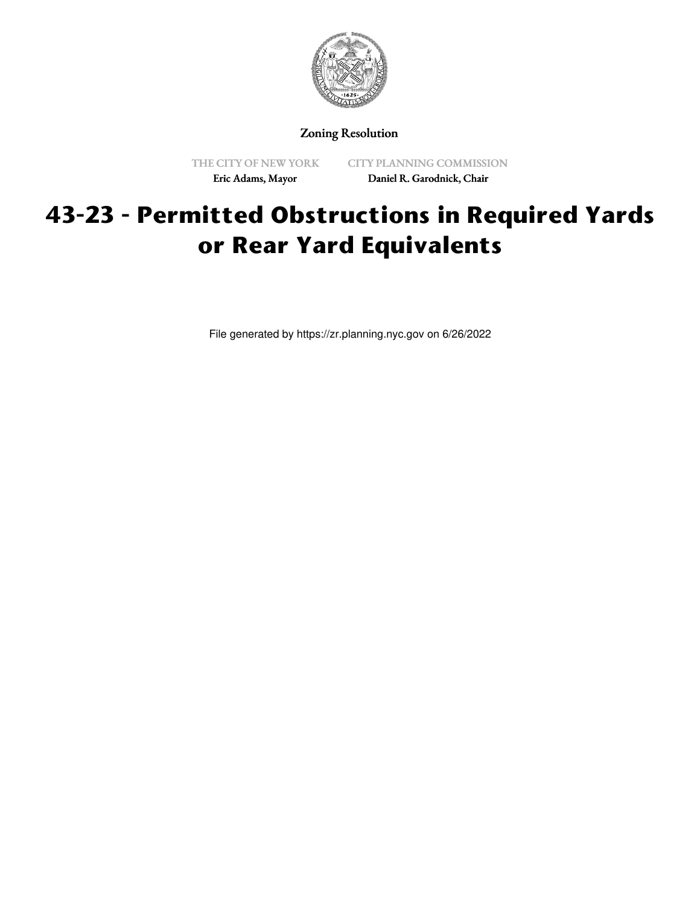

Zoning Resolution

THE CITY OF NEW YORK Eric Adams, Mayor

CITY PLANNING COMMISSION Daniel R. Garodnick, Chair

## **43-23 - Permitted Obstructions in Required Yards or Rear Yard Equivalents**

File generated by https://zr.planning.nyc.gov on 6/26/2022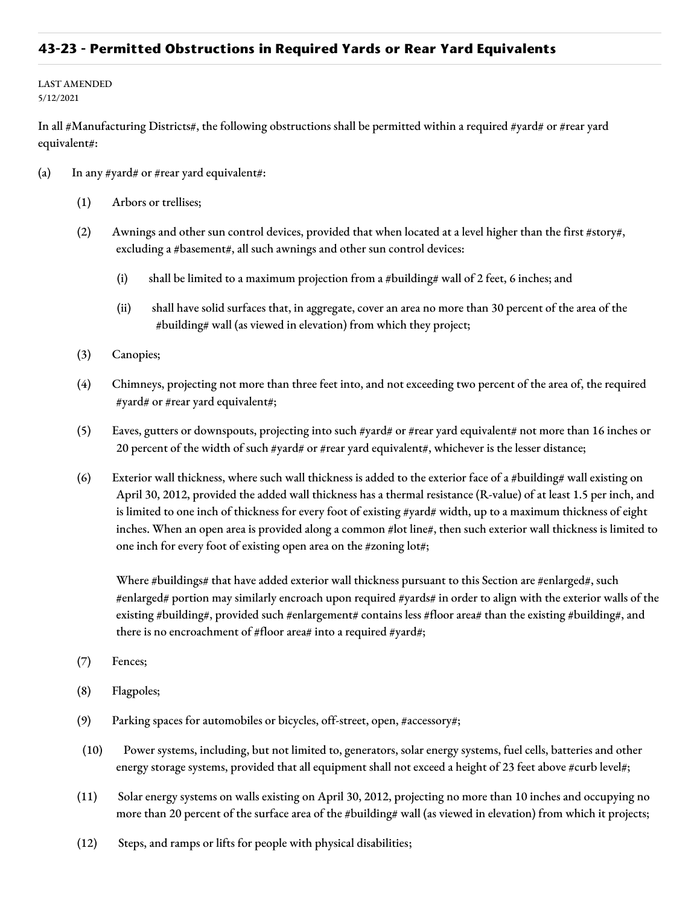## **43-23 - Permitted Obstructions in Required Yards or Rear Yard Equivalents**

LAST AMENDED 5/12/2021

In all #Manufacturing Districts#, the following obstructions shall be permitted within a required #yard# or #rear yard equivalent#:

- (a) In any #yard# or #rear yard equivalent#:
	- (1) Arbors or trellises;
	- (2) Awnings and other sun control devices, provided that when located at a level higher than the first #story#, excluding a #basement#, all such awnings and other sun control devices:
		- (i) shall be limited to a maximum projection from a #building# wall of 2 feet, 6 inches; and
		- (ii) shall have solid surfaces that, in aggregate, cover an area no more than 30 percent of the area of the #building# wall (as viewed in elevation) from which they project;
	- (3) Canopies;
	- (4) Chimneys, projecting not more than three feet into, and not exceeding two percent of the area of, the required #yard# or #rear yard equivalent#;
	- (5) Eaves, gutters or downspouts, projecting into such #yard# or #rear yard equivalent# not more than 16 inches or 20 percent of the width of such #yard# or #rear yard equivalent#, whichever is the lesser distance;
	- (6) Exterior wall thickness, where such wall thickness is added to the exterior face of a #building# wall existing on April 30, 2012, provided the added wall thickness has a thermal resistance (R-value) of at least 1.5 per inch, and is limited to one inch of thickness for every foot of existing #yard# width, up to a maximum thickness of eight inches. When an open area is provided along a common #lot line#, then such exterior wall thickness is limited to one inch for every foot of existing open area on the #zoning lot#;

Where #buildings# that have added exterior wall thickness pursuant to this Section are #enlarged#, such #enlarged# portion may similarly encroach upon required #yards# in order to align with the exterior walls of the existing #building#, provided such #enlargement# contains less #floor area# than the existing #building#, and there is no encroachment of #floor area# into a required #yard#;

- (7) Fences;
- (8) Flagpoles;
- (9) Parking spaces for automobiles or bicycles, off-street, open, #accessory#;
- (10) Power systems, including, but not limited to, generators, solar energy systems, fuel cells, batteries and other energy storage systems, provided that all equipment shall not exceed a height of 23 feet above #curb level#;
- (11) Solar energy systems on walls existing on April 30, 2012, projecting no more than 10 inches and occupying no more than 20 percent of the surface area of the #building# wall (as viewed in elevation) from which it projects;
- (12) Steps, and ramps or lifts for people with physical disabilities;